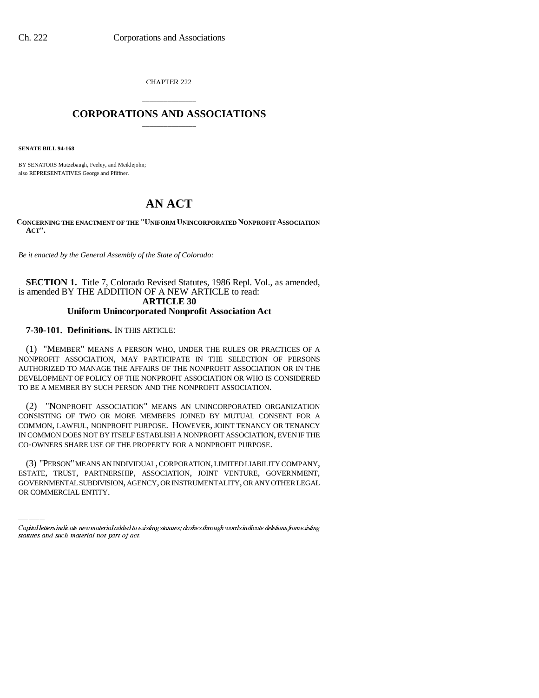CHAPTER 222

## \_\_\_\_\_\_\_\_\_\_\_\_\_\_\_ **CORPORATIONS AND ASSOCIATIONS** \_\_\_\_\_\_\_\_\_\_\_\_\_\_\_

**SENATE BILL 94-168**

BY SENATORS Mutzebaugh, Feeley, and Meiklejohn; also REPRESENTATIVES George and Pfiffner.

# **AN ACT**

**CONCERNING THE ENACTMENT OF THE "UNIFORM UNINCORPORATED NONPROFIT ASSOCIATION ACT".**

*Be it enacted by the General Assembly of the State of Colorado:*

**SECTION 1.** Title 7, Colorado Revised Statutes, 1986 Repl. Vol., as amended, is amended BY THE ADDITION OF A NEW ARTICLE to read: **ARTICLE 30**

### **Uniform Unincorporated Nonprofit Association Act**

## **7-30-101. Definitions.** IN THIS ARTICLE:

(1) "MEMBER" MEANS A PERSON WHO, UNDER THE RULES OR PRACTICES OF A NONPROFIT ASSOCIATION, MAY PARTICIPATE IN THE SELECTION OF PERSONS AUTHORIZED TO MANAGE THE AFFAIRS OF THE NONPROFIT ASSOCIATION OR IN THE DEVELOPMENT OF POLICY OF THE NONPROFIT ASSOCIATION OR WHO IS CONSIDERED TO BE A MEMBER BY SUCH PERSON AND THE NONPROFIT ASSOCIATION.

(2) "NONPROFIT ASSOCIATION" MEANS AN UNINCORPORATED ORGANIZATION CONSISTING OF TWO OR MORE MEMBERS JOINED BY MUTUAL CONSENT FOR A COMMON, LAWFUL, NONPROFIT PURPOSE. HOWEVER, JOINT TENANCY OR TENANCY IN COMMON DOES NOT BY ITSELF ESTABLISH A NONPROFIT ASSOCIATION, EVEN IF THE CO-OWNERS SHARE USE OF THE PROPERTY FOR A NONPROFIT PURPOSE.

(3) "PERSON" MEANS AN INDIVIDUAL, CORPORATION, LIMITED LIABILITY COMPANY, ESTATE, TRUST, PARTNERSHIP, ASSOCIATION, JOINT VENTURE, GOVERNMENT, GOVERNMENTAL SUBDIVISION, AGENCY, OR INSTRUMENTALITY, OR ANY OTHER LEGAL OR COMMERCIAL ENTITY.

Capital letters indicate new material added to existing statutes; dashes through words indicate deletions from existing statutes and such material not part of act.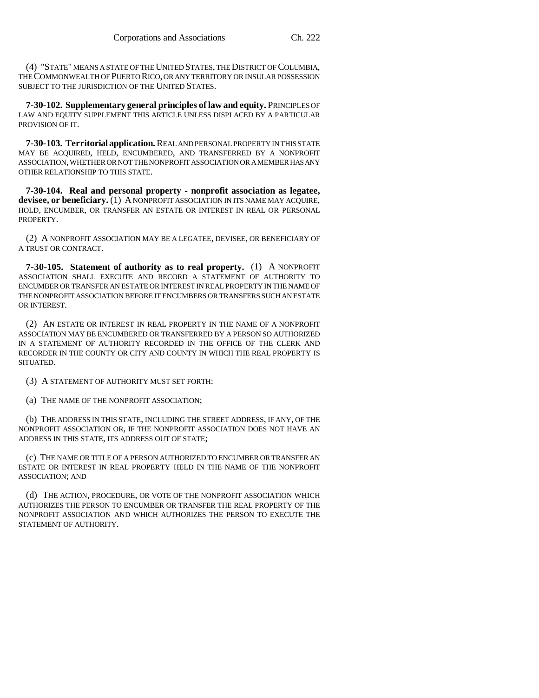(4) "STATE" MEANS A STATE OF THE UNITED STATES, THE DISTRICT OF COLUMBIA, THE COMMONWEALTH OF PUERTO RICO, OR ANY TERRITORY OR INSULAR POSSESSION SUBJECT TO THE JURISDICTION OF THE UNITED STATES.

**7-30-102. Supplementary general principles of law and equity.** PRINCIPLES OF LAW AND EQUITY SUPPLEMENT THIS ARTICLE UNLESS DISPLACED BY A PARTICULAR PROVISION OF IT.

**7-30-103. Territorial application.** REAL AND PERSONAL PROPERTY IN THIS STATE MAY BE ACQUIRED, HELD, ENCUMBERED, AND TRANSFERRED BY A NONPROFIT ASSOCIATION, WHETHER OR NOT THE NONPROFIT ASSOCIATION OR A MEMBER HAS ANY OTHER RELATIONSHIP TO THIS STATE.

**7-30-104. Real and personal property - nonprofit association as legatee, devisee, or beneficiary.** (1) A NONPROFIT ASSOCIATION IN ITS NAME MAY ACQUIRE, HOLD, ENCUMBER, OR TRANSFER AN ESTATE OR INTEREST IN REAL OR PERSONAL PROPERTY.

(2) A NONPROFIT ASSOCIATION MAY BE A LEGATEE, DEVISEE, OR BENEFICIARY OF A TRUST OR CONTRACT.

**7-30-105. Statement of authority as to real property.** (1) A NONPROFIT ASSOCIATION SHALL EXECUTE AND RECORD A STATEMENT OF AUTHORITY TO ENCUMBER OR TRANSFER AN ESTATE OR INTEREST IN REAL PROPERTY IN THE NAME OF THE NONPROFIT ASSOCIATION BEFORE IT ENCUMBERS OR TRANSFERS SUCH AN ESTATE OR INTEREST.

(2) AN ESTATE OR INTEREST IN REAL PROPERTY IN THE NAME OF A NONPROFIT ASSOCIATION MAY BE ENCUMBERED OR TRANSFERRED BY A PERSON SO AUTHORIZED IN A STATEMENT OF AUTHORITY RECORDED IN THE OFFICE OF THE CLERK AND RECORDER IN THE COUNTY OR CITY AND COUNTY IN WHICH THE REAL PROPERTY IS SITUATED.

(3) A STATEMENT OF AUTHORITY MUST SET FORTH:

(a) THE NAME OF THE NONPROFIT ASSOCIATION;

(b) THE ADDRESS IN THIS STATE, INCLUDING THE STREET ADDRESS, IF ANY, OF THE NONPROFIT ASSOCIATION OR, IF THE NONPROFIT ASSOCIATION DOES NOT HAVE AN ADDRESS IN THIS STATE, ITS ADDRESS OUT OF STATE;

(c) THE NAME OR TITLE OF A PERSON AUTHORIZED TO ENCUMBER OR TRANSFER AN ESTATE OR INTEREST IN REAL PROPERTY HELD IN THE NAME OF THE NONPROFIT ASSOCIATION; AND

(d) THE ACTION, PROCEDURE, OR VOTE OF THE NONPROFIT ASSOCIATION WHICH AUTHORIZES THE PERSON TO ENCUMBER OR TRANSFER THE REAL PROPERTY OF THE NONPROFIT ASSOCIATION AND WHICH AUTHORIZES THE PERSON TO EXECUTE THE STATEMENT OF AUTHORITY.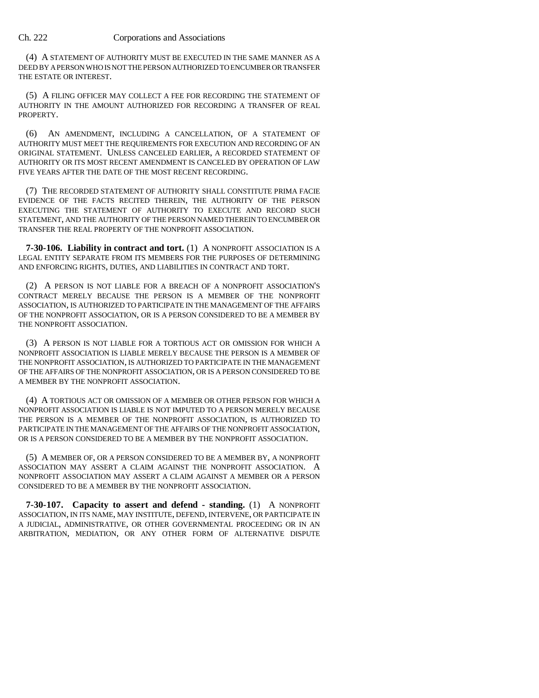#### Ch. 222 Corporations and Associations

(4) A STATEMENT OF AUTHORITY MUST BE EXECUTED IN THE SAME MANNER AS A DEED BY A PERSON WHO IS NOT THE PERSON AUTHORIZED TO ENCUMBER OR TRANSFER THE ESTATE OR INTEREST.

(5) A FILING OFFICER MAY COLLECT A FEE FOR RECORDING THE STATEMENT OF AUTHORITY IN THE AMOUNT AUTHORIZED FOR RECORDING A TRANSFER OF REAL PROPERTY.

(6) AN AMENDMENT, INCLUDING A CANCELLATION, OF A STATEMENT OF AUTHORITY MUST MEET THE REQUIREMENTS FOR EXECUTION AND RECORDING OF AN ORIGINAL STATEMENT. UNLESS CANCELED EARLIER, A RECORDED STATEMENT OF AUTHORITY OR ITS MOST RECENT AMENDMENT IS CANCELED BY OPERATION OF LAW FIVE YEARS AFTER THE DATE OF THE MOST RECENT RECORDING.

(7) THE RECORDED STATEMENT OF AUTHORITY SHALL CONSTITUTE PRIMA FACIE EVIDENCE OF THE FACTS RECITED THEREIN, THE AUTHORITY OF THE PERSON EXECUTING THE STATEMENT OF AUTHORITY TO EXECUTE AND RECORD SUCH STATEMENT, AND THE AUTHORITY OF THE PERSON NAMED THEREIN TO ENCUMBER OR TRANSFER THE REAL PROPERTY OF THE NONPROFIT ASSOCIATION.

**7-30-106. Liability in contract and tort.** (1) A NONPROFIT ASSOCIATION IS A LEGAL ENTITY SEPARATE FROM ITS MEMBERS FOR THE PURPOSES OF DETERMINING AND ENFORCING RIGHTS, DUTIES, AND LIABILITIES IN CONTRACT AND TORT.

(2) A PERSON IS NOT LIABLE FOR A BREACH OF A NONPROFIT ASSOCIATION'S CONTRACT MERELY BECAUSE THE PERSON IS A MEMBER OF THE NONPROFIT ASSOCIATION, IS AUTHORIZED TO PARTICIPATE IN THE MANAGEMENT OF THE AFFAIRS OF THE NONPROFIT ASSOCIATION, OR IS A PERSON CONSIDERED TO BE A MEMBER BY THE NONPROFIT ASSOCIATION.

(3) A PERSON IS NOT LIABLE FOR A TORTIOUS ACT OR OMISSION FOR WHICH A NONPROFIT ASSOCIATION IS LIABLE MERELY BECAUSE THE PERSON IS A MEMBER OF THE NONPROFIT ASSOCIATION, IS AUTHORIZED TO PARTICIPATE IN THE MANAGEMENT OF THE AFFAIRS OF THE NONPROFIT ASSOCIATION, OR IS A PERSON CONSIDERED TO BE A MEMBER BY THE NONPROFIT ASSOCIATION.

(4) A TORTIOUS ACT OR OMISSION OF A MEMBER OR OTHER PERSON FOR WHICH A NONPROFIT ASSOCIATION IS LIABLE IS NOT IMPUTED TO A PERSON MERELY BECAUSE THE PERSON IS A MEMBER OF THE NONPROFIT ASSOCIATION, IS AUTHORIZED TO PARTICIPATE IN THE MANAGEMENT OF THE AFFAIRS OF THE NONPROFIT ASSOCIATION, OR IS A PERSON CONSIDERED TO BE A MEMBER BY THE NONPROFIT ASSOCIATION.

(5) A MEMBER OF, OR A PERSON CONSIDERED TO BE A MEMBER BY, A NONPROFIT ASSOCIATION MAY ASSERT A CLAIM AGAINST THE NONPROFIT ASSOCIATION. A NONPROFIT ASSOCIATION MAY ASSERT A CLAIM AGAINST A MEMBER OR A PERSON CONSIDERED TO BE A MEMBER BY THE NONPROFIT ASSOCIATION.

**7-30-107. Capacity to assert and defend - standing.** (1) A NONPROFIT ASSOCIATION, IN ITS NAME, MAY INSTITUTE, DEFEND, INTERVENE, OR PARTICIPATE IN A JUDICIAL, ADMINISTRATIVE, OR OTHER GOVERNMENTAL PROCEEDING OR IN AN ARBITRATION, MEDIATION, OR ANY OTHER FORM OF ALTERNATIVE DISPUTE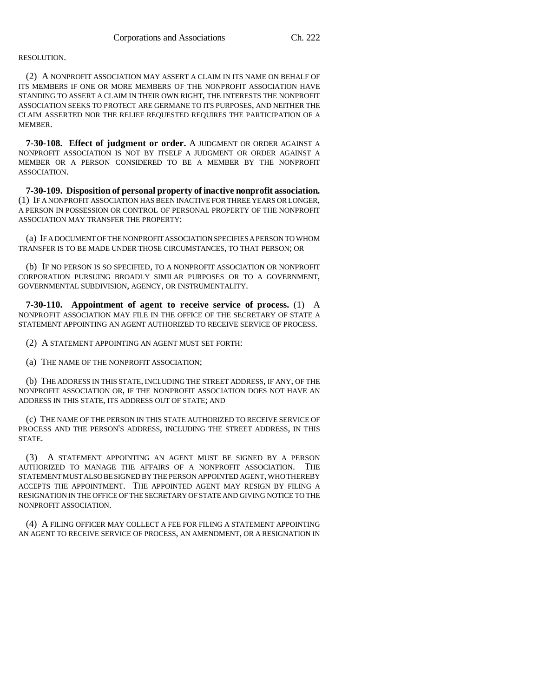#### RESOLUTION.

(2) A NONPROFIT ASSOCIATION MAY ASSERT A CLAIM IN ITS NAME ON BEHALF OF ITS MEMBERS IF ONE OR MORE MEMBERS OF THE NONPROFIT ASSOCIATION HAVE STANDING TO ASSERT A CLAIM IN THEIR OWN RIGHT, THE INTERESTS THE NONPROFIT ASSOCIATION SEEKS TO PROTECT ARE GERMANE TO ITS PURPOSES, AND NEITHER THE CLAIM ASSERTED NOR THE RELIEF REQUESTED REQUIRES THE PARTICIPATION OF A **MEMBER** 

**7-30-108. Effect of judgment or order.** A JUDGMENT OR ORDER AGAINST A NONPROFIT ASSOCIATION IS NOT BY ITSELF A JUDGMENT OR ORDER AGAINST A MEMBER OR A PERSON CONSIDERED TO BE A MEMBER BY THE NONPROFIT ASSOCIATION.

**7-30-109. Disposition of personal property of inactive nonprofit association.** (1) IF A NONPROFIT ASSOCIATION HAS BEEN INACTIVE FOR THREE YEARS OR LONGER, A PERSON IN POSSESSION OR CONTROL OF PERSONAL PROPERTY OF THE NONPROFIT ASSOCIATION MAY TRANSFER THE PROPERTY:

(a) IF A DOCUMENT OF THE NONPROFIT ASSOCIATION SPECIFIES A PERSON TO WHOM TRANSFER IS TO BE MADE UNDER THOSE CIRCUMSTANCES, TO THAT PERSON; OR

(b) IF NO PERSON IS SO SPECIFIED, TO A NONPROFIT ASSOCIATION OR NONPROFIT CORPORATION PURSUING BROADLY SIMILAR PURPOSES OR TO A GOVERNMENT, GOVERNMENTAL SUBDIVISION, AGENCY, OR INSTRUMENTALITY.

**7-30-110. Appointment of agent to receive service of process.** (1) A NONPROFIT ASSOCIATION MAY FILE IN THE OFFICE OF THE SECRETARY OF STATE A STATEMENT APPOINTING AN AGENT AUTHORIZED TO RECEIVE SERVICE OF PROCESS.

(2) A STATEMENT APPOINTING AN AGENT MUST SET FORTH:

(a) THE NAME OF THE NONPROFIT ASSOCIATION;

(b) THE ADDRESS IN THIS STATE, INCLUDING THE STREET ADDRESS, IF ANY, OF THE NONPROFIT ASSOCIATION OR, IF THE NONPROFIT ASSOCIATION DOES NOT HAVE AN ADDRESS IN THIS STATE, ITS ADDRESS OUT OF STATE; AND

(c) THE NAME OF THE PERSON IN THIS STATE AUTHORIZED TO RECEIVE SERVICE OF PROCESS AND THE PERSON'S ADDRESS, INCLUDING THE STREET ADDRESS, IN THIS STATE.

(3) A STATEMENT APPOINTING AN AGENT MUST BE SIGNED BY A PERSON AUTHORIZED TO MANAGE THE AFFAIRS OF A NONPROFIT ASSOCIATION. THE STATEMENT MUST ALSO BE SIGNED BY THE PERSON APPOINTED AGENT, WHO THEREBY ACCEPTS THE APPOINTMENT. THE APPOINTED AGENT MAY RESIGN BY FILING A RESIGNATION IN THE OFFICE OF THE SECRETARY OF STATE AND GIVING NOTICE TO THE NONPROFIT ASSOCIATION.

(4) A FILING OFFICER MAY COLLECT A FEE FOR FILING A STATEMENT APPOINTING AN AGENT TO RECEIVE SERVICE OF PROCESS, AN AMENDMENT, OR A RESIGNATION IN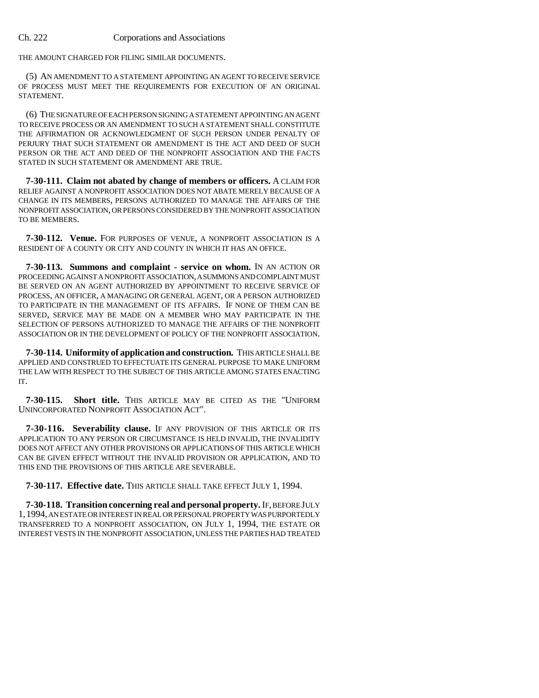#### Ch. 222 Corporations and Associations

THE AMOUNT CHARGED FOR FILING SIMILAR DOCUMENTS.

(5) AN AMENDMENT TO A STATEMENT APPOINTING AN AGENT TO RECEIVE SERVICE OF PROCESS MUST MEET THE REQUIREMENTS FOR EXECUTION OF AN ORIGINAL STATEMENT.

(6) THE SIGNATURE OF EACH PERSON SIGNING A STATEMENT APPOINTING AN AGENT TO RECEIVE PROCESS OR AN AMENDMENT TO SUCH A STATEMENT SHALL CONSTITUTE THE AFFIRMATION OR ACKNOWLEDGMENT OF SUCH PERSON UNDER PENALTY OF PERJURY THAT SUCH STATEMENT OR AMENDMENT IS THE ACT AND DEED OF SUCH PERSON OR THE ACT AND DEED OF THE NONPROFIT ASSOCIATION AND THE FACTS STATED IN SUCH STATEMENT OR AMENDMENT ARE TRUE.

**7-30-111. Claim not abated by change of members or officers.** A CLAIM FOR RELIEF AGAINST A NONPROFIT ASSOCIATION DOES NOT ABATE MERELY BECAUSE OF A CHANGE IN ITS MEMBERS, PERSONS AUTHORIZED TO MANAGE THE AFFAIRS OF THE NONPROFIT ASSOCIATION, OR PERSONS CONSIDERED BY THE NONPROFIT ASSOCIATION TO BE MEMBERS.

**7-30-112. Venue.** FOR PURPOSES OF VENUE, A NONPROFIT ASSOCIATION IS A RESIDENT OF A COUNTY OR CITY AND COUNTY IN WHICH IT HAS AN OFFICE.

**7-30-113. Summons and complaint - service on whom.** IN AN ACTION OR PROCEEDING AGAINST A NONPROFIT ASSOCIATION, A SUMMONS AND COMPLAINT MUST BE SERVED ON AN AGENT AUTHORIZED BY APPOINTMENT TO RECEIVE SERVICE OF PROCESS, AN OFFICER, A MANAGING OR GENERAL AGENT, OR A PERSON AUTHORIZED TO PARTICIPATE IN THE MANAGEMENT OF ITS AFFAIRS. IF NONE OF THEM CAN BE SERVED, SERVICE MAY BE MADE ON A MEMBER WHO MAY PARTICIPATE IN THE SELECTION OF PERSONS AUTHORIZED TO MANAGE THE AFFAIRS OF THE NONPROFIT ASSOCIATION OR IN THE DEVELOPMENT OF POLICY OF THE NONPROFIT ASSOCIATION.

**7-30-114. Uniformity of application and construction.** THIS ARTICLE SHALL BE APPLIED AND CONSTRUED TO EFFECTUATE ITS GENERAL PURPOSE TO MAKE UNIFORM THE LAW WITH RESPECT TO THE SUBJECT OF THIS ARTICLE AMONG STATES ENACTING IT.

**7-30-115. Short title.** THIS ARTICLE MAY BE CITED AS THE "UNIFORM UNINCORPORATED NONPROFIT ASSOCIATION ACT".

**7-30-116. Severability clause.** IF ANY PROVISION OF THIS ARTICLE OR ITS APPLICATION TO ANY PERSON OR CIRCUMSTANCE IS HELD INVALID, THE INVALIDITY DOES NOT AFFECT ANY OTHER PROVISIONS OR APPLICATIONS OF THIS ARTICLE WHICH CAN BE GIVEN EFFECT WITHOUT THE INVALID PROVISION OR APPLICATION, AND TO THIS END THE PROVISIONS OF THIS ARTICLE ARE SEVERABLE.

**7-30-117. Effective date.** THIS ARTICLE SHALL TAKE EFFECT JULY 1, 1994.

**7-30-118. Transition concerning real and personal property.** IF, BEFORE JULY 1,1994, AN ESTATE OR INTEREST IN REAL OR PERSONAL PROPERTY WAS PURPORTEDLY TRANSFERRED TO A NONPROFIT ASSOCIATION, ON JULY 1, 1994, THE ESTATE OR INTEREST VESTS IN THE NONPROFIT ASSOCIATION, UNLESS THE PARTIES HAD TREATED